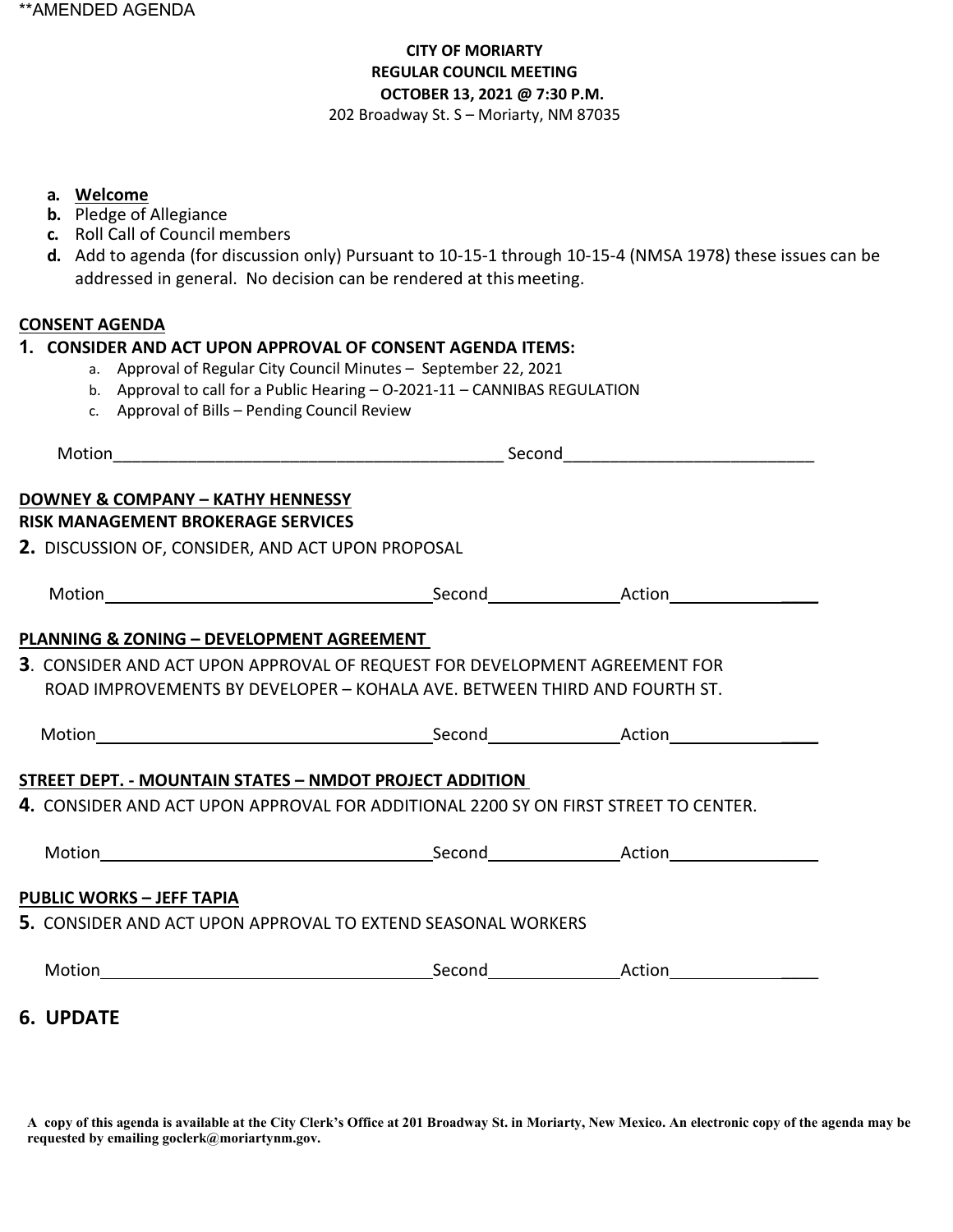## **CITY OF MORIARTY REGULAR COUNCIL MEETING OCTOBER 13, 2021 @ 7:30 P.M.**  202 Broadway St. S – Moriarty, NM 87035

#### **a. Welcome**

- **b.** Pledge of Allegiance
- **c.** Roll Call of Council members
- **d.** Add to agenda (for discussion only) Pursuant to 10-15-1 through 10-15-4 (NMSA 1978) these issues can be addressed in general. No decision can be rendered at thismeeting.

### **CONSENT AGENDA**

#### **1. CONSIDER AND ACT UPON APPROVAL OF CONSENT AGENDA ITEMS:**

- a. Approval of Regular City Council Minutes September 22, 2021
- b. Approval to call for a Public Hearing O-2021-11 CANNIBAS REGULATION
- c. Approval of Bills Pending Council Review

| Motion                                                                                                                                                  |  | <u>Second Second Second Second Second Second Second Second Second Second Second Second Second Second Second Second Second Second Second Second Second Second Second Second Second Second Second Second Second Second Second Seco</u> |  |  |  |  |  |
|---------------------------------------------------------------------------------------------------------------------------------------------------------|--|--------------------------------------------------------------------------------------------------------------------------------------------------------------------------------------------------------------------------------------|--|--|--|--|--|
| DOWNEY & COMPANY - KATHY HENNESSY                                                                                                                       |  |                                                                                                                                                                                                                                      |  |  |  |  |  |
| RISK MANAGEMENT BROKERAGE SERVICES                                                                                                                      |  |                                                                                                                                                                                                                                      |  |  |  |  |  |
| 2. DISCUSSION OF, CONSIDER, AND ACT UPON PROPOSAL                                                                                                       |  |                                                                                                                                                                                                                                      |  |  |  |  |  |
|                                                                                                                                                         |  |                                                                                                                                                                                                                                      |  |  |  |  |  |
| PLANNING & ZONING - DEVELOPMENT AGREEMENT                                                                                                               |  |                                                                                                                                                                                                                                      |  |  |  |  |  |
| 3. CONSIDER AND ACT UPON APPROVAL OF REQUEST FOR DEVELOPMENT AGREEMENT FOR<br>ROAD IMPROVEMENTS BY DEVELOPER - KOHALA AVE. BETWEEN THIRD AND FOURTH ST. |  |                                                                                                                                                                                                                                      |  |  |  |  |  |
|                                                                                                                                                         |  |                                                                                                                                                                                                                                      |  |  |  |  |  |
| STREET DEPT. - MOUNTAIN STATES – NMDOT PROJECT ADDITION                                                                                                 |  |                                                                                                                                                                                                                                      |  |  |  |  |  |
| <b>4.</b> CONSIDER AND ACT UPON APPROVAL FOR ADDITIONAL 2200 SY ON FIRST STREET TO CENTER.                                                              |  |                                                                                                                                                                                                                                      |  |  |  |  |  |
|                                                                                                                                                         |  |                                                                                                                                                                                                                                      |  |  |  |  |  |
| <b>PUBLIC WORKS - JEFF TAPIA</b>                                                                                                                        |  |                                                                                                                                                                                                                                      |  |  |  |  |  |
| 5. CONSIDER AND ACT UPON APPROVAL TO EXTEND SEASONAL WORKERS                                                                                            |  |                                                                                                                                                                                                                                      |  |  |  |  |  |
|                                                                                                                                                         |  |                                                                                                                                                                                                                                      |  |  |  |  |  |
| <b>6. UPDATE</b>                                                                                                                                        |  |                                                                                                                                                                                                                                      |  |  |  |  |  |

**A copy of this agenda is available at the City Clerk's Office at 201 Broadway St. in Moriarty, New Mexico. An electronic copy of the agenda may be requested by emailing goclerk@moriartynm.gov.**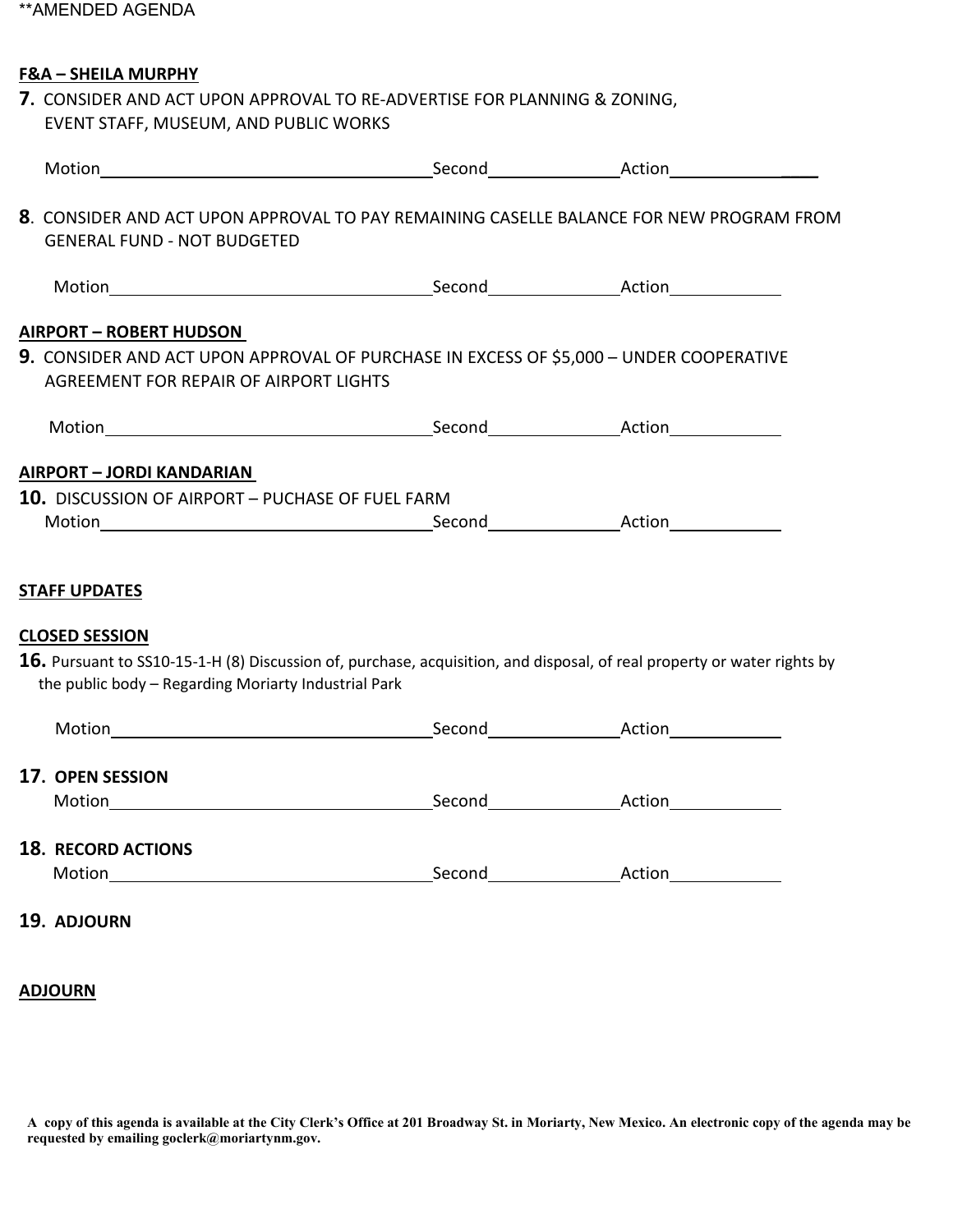# **F&A – SHEILA MURPHY**

| 7. CONSIDER AND ACT UPON APPROVAL TO RE-ADVERTISE FOR PLANNING & ZONING, |
|--------------------------------------------------------------------------|
| EVENT STAFF, MUSEUM, AND PUBLIC WORKS                                    |

|                                                                                                                                                                                 | 8. CONSIDER AND ACT UPON APPROVAL TO PAY REMAINING CASELLE BALANCE FOR NEW PROGRAM FROM<br><b>GENERAL FUND - NOT BUDGETED</b>    |  |  |  |  |  |  |  |
|---------------------------------------------------------------------------------------------------------------------------------------------------------------------------------|----------------------------------------------------------------------------------------------------------------------------------|--|--|--|--|--|--|--|
|                                                                                                                                                                                 |                                                                                                                                  |  |  |  |  |  |  |  |
|                                                                                                                                                                                 | <b>AIRPORT - ROBERT HUDSON</b>                                                                                                   |  |  |  |  |  |  |  |
|                                                                                                                                                                                 | 9. CONSIDER AND ACT UPON APPROVAL OF PURCHASE IN EXCESS OF \$5,000 - UNDER COOPERATIVE<br>AGREEMENT FOR REPAIR OF AIRPORT LIGHTS |  |  |  |  |  |  |  |
|                                                                                                                                                                                 |                                                                                                                                  |  |  |  |  |  |  |  |
|                                                                                                                                                                                 | AIRPORT - JORDI KANDARIAN<br>10. DISCUSSION OF AIRPORT - PUCHASE OF FUEL FARM<br><b>STAFF UPDATES</b>                            |  |  |  |  |  |  |  |
|                                                                                                                                                                                 | <b>CLOSED SESSION</b>                                                                                                            |  |  |  |  |  |  |  |
| 16. Pursuant to SS10-15-1-H (8) Discussion of, purchase, acquisition, and disposal, of real property or water rights by<br>the public body - Regarding Moriarty Industrial Park |                                                                                                                                  |  |  |  |  |  |  |  |
|                                                                                                                                                                                 |                                                                                                                                  |  |  |  |  |  |  |  |
|                                                                                                                                                                                 | 17. OPEN SESSION                                                                                                                 |  |  |  |  |  |  |  |
|                                                                                                                                                                                 | <b>18. RECORD ACTIONS</b>                                                                                                        |  |  |  |  |  |  |  |
|                                                                                                                                                                                 | 19. ADJOURN                                                                                                                      |  |  |  |  |  |  |  |

#### **ADJOURN**

**A copy of this agenda is available at the City Clerk's Office at 201 Broadway St. in Moriarty, New Mexico. An electronic copy of the agenda may be requested by emailing goclerk@moriartynm.gov.**